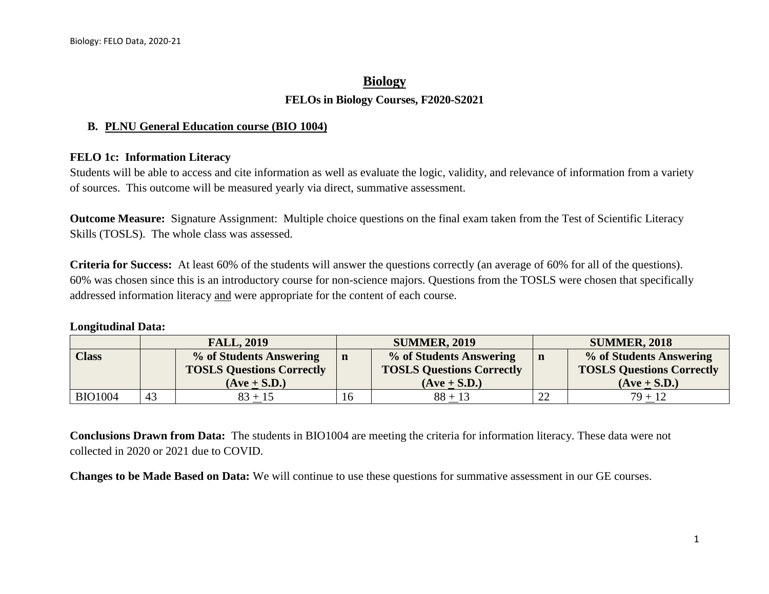## **Biology FELOs in Biology Courses, F2020-S2021**

## **B. PLNU General Education course (BIO 1004)**

## **FELO 1c: Information Literacy**

Students will be able to access and cite information as well as evaluate the logic, validity, and relevance of information from a variety of sources. This outcome will be measured yearly via direct, summative assessment.

**Outcome Measure:** Signature Assignment: Multiple choice questions on the final exam taken from the Test of Scientific Literacy Skills (TOSLS). The whole class was assessed.

**Criteria for Success:** At least 60% of the students will answer the questions correctly (an average of 60% for all of the questions). 60% was chosen since this is an introductory course for non-science majors. Questions from the TOSLS were chosen that specifically addressed information literacy and were appropriate for the content of each course.

## **Longitudinal Data:**

|                | <b>FALL, 2019</b> |                                  | <b>SUMMER, 2019</b> |                                  | <b>SUMMER, 2018</b> |                                  |
|----------------|-------------------|----------------------------------|---------------------|----------------------------------|---------------------|----------------------------------|
| Class          |                   | % of Students Answering          |                     | % of Students Answering          | n                   | % of Students Answering          |
|                |                   | <b>TOSLS Questions Correctly</b> |                     | <b>TOSLS Questions Correctly</b> |                     | <b>TOSLS Questions Correctly</b> |
|                |                   | $(Ave + S.D.)$                   |                     | $(Ave + S.D.)$                   |                     | $(Ave + S.D.)$                   |
| <b>BIO1004</b> | 43                | $83 + 15$                        |                     | $88 + 13$                        | $\mathcal{D}$       | $79 + 12$                        |

**Conclusions Drawn from Data:** The students in BIO1004 are meeting the criteria for information literacy. These data were not collected in 2020 or 2021 due to COVID.

**Changes to be Made Based on Data:** We will continue to use these questions for summative assessment in our GE courses.